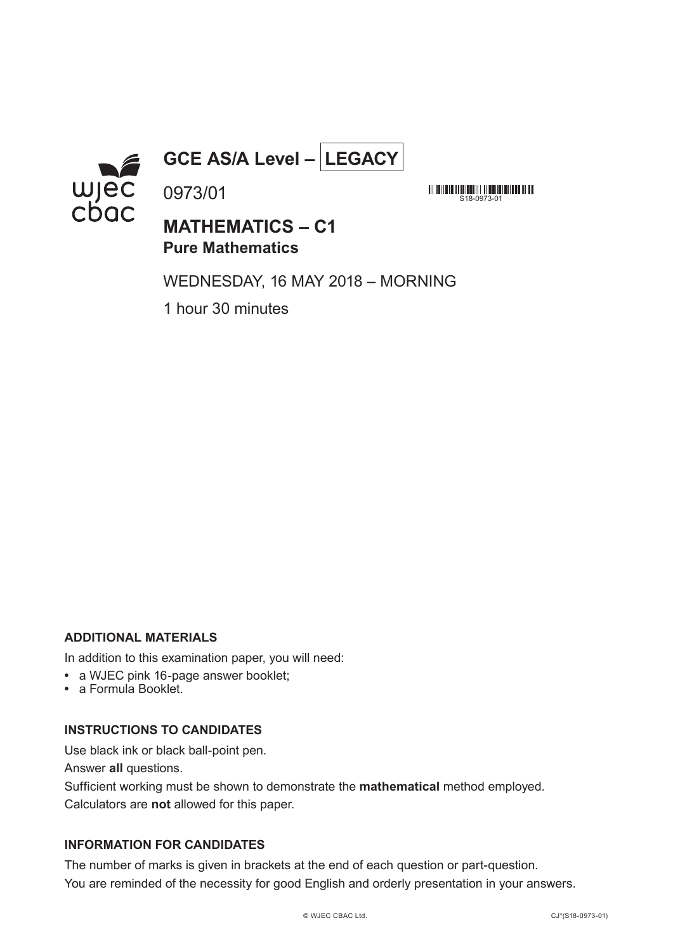

## **GCE AS/A Level – LEGACY**

**MATHEMATICS – C1 Pure Mathematics**

WEDNESDAY, 16 MAY 2018 – MORNING

 $518 - 0973 - 0$ 

<u> All an Ioan Linn (an Ioan Linn) an Dùbhlachad an Ioan Ioan </u>

1 hour 30 minutes

0973/01

### **ADDITIONAL MATERIALS**

In addition to this examination paper, you will need:

- **•** a WJEC pink 16-page answer booklet;
- **•** a Formula Booklet.

### **INSTRUCTIONS TO CANDIDATES**

Use black ink or black ball-point pen.

Answer **all** questions.

Sufficient working must be shown to demonstrate the **mathematical** method employed. Calculators are **not** allowed for this paper.

### **INFORMATION FOR CANDIDATES**

The number of marks is given in brackets at the end of each question or part-question. You are reminded of the necessity for good English and orderly presentation in your answers.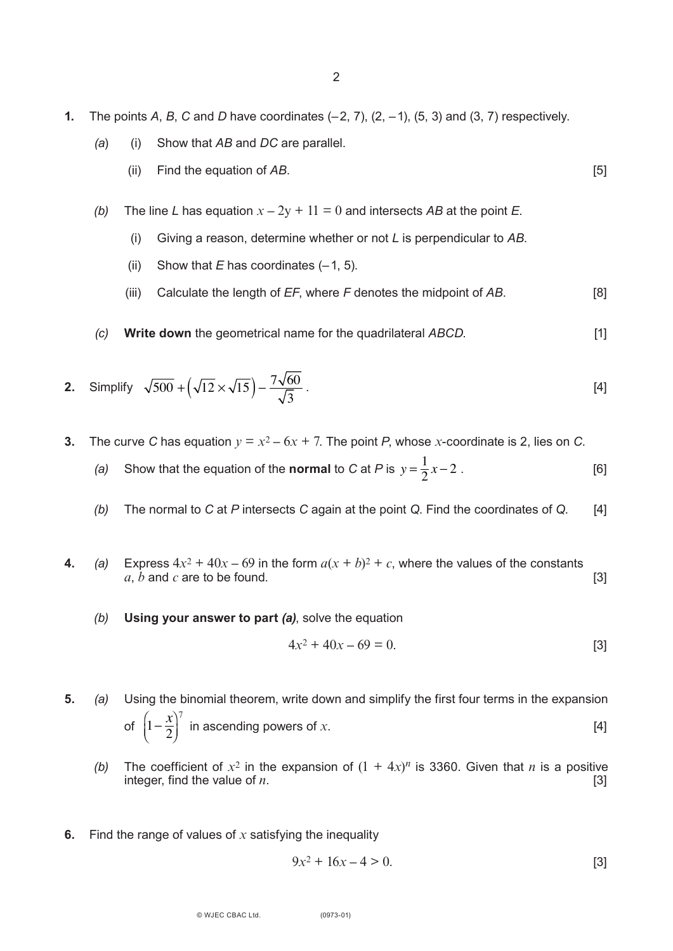- **1.** The points *A*, *B*, *C* and *D* have coordinates (–2, 7), (2, –1), (5, 3) and (3, 7) respectively.
	- *(a*) (i) Show that *AB* and *DC* are parallel.
		- (ii) Find the equation of *AB*. [5]
	- *(b)* The line *L* has equation  $x 2y + 11 = 0$  and intersects *AB* at the point *E*.
		- (i) Giving a reason, determine whether or not *L* is perpendicular to *AB*.
		- (ii) Show that  $E$  has coordinates  $(-1, 5)$ .
		- (iii) Calculate the length of *EF*, where *F* denotes the midpoint of *AB*. [8]
	- *(c)* **Write down** the geometrical name for the quadrilateral *ABCD*. [1]

2. Simplify 
$$
\sqrt{500} + (\sqrt{12} \times \sqrt{15}) - \frac{7\sqrt{60}}{\sqrt{3}}
$$
. [4]

- **3.** The curve *C* has equation  $y = x^2 6x + 7$ . The point *P*, whose *x*-coordinate is 2, lies on *C*.
	- *(a)* Show that the equation of the **normal** to *C* at *P* is  $y = \frac{1}{2}x 2$ . [6]
	- *(b)* The normal to *C* at *P* intersects *C* again at the point *Q*. Find the coordinates of *Q*. [4]
- **4.** *(a)* Express  $4x^2 + 40x 69$  in the form  $a(x + b)^2 + c$ , where the values of the constants  $a, b$  and  $c$  are to be found. [3]
	- *(b)* **Using your answer to part** *(a)*, solve the equation

$$
4x^2 + 40x - 69 = 0.
$$
 [3]

- **5.** *(a)* Using the binomial theorem, write down and simplify the first four terms in the expansion of  $\left(1-\frac{x}{2}\right)^{\prime}$  in ascending powers of *x*.  $\overline{\mathcal{N}}$  $\cdot$  $\left(1-\frac{x}{2}\right)$ 7
	- *(b)* The coefficient of  $x^2$  in the expansion of  $(1 + 4x)^n$  is 3360. Given that *n* is a positive integer, find the value of  $n$ .  $[3]$
- **6.** Find the range of values of *x* satisfying the inequality

$$
9x^2 + 16x - 4 > 0.
$$
 [3]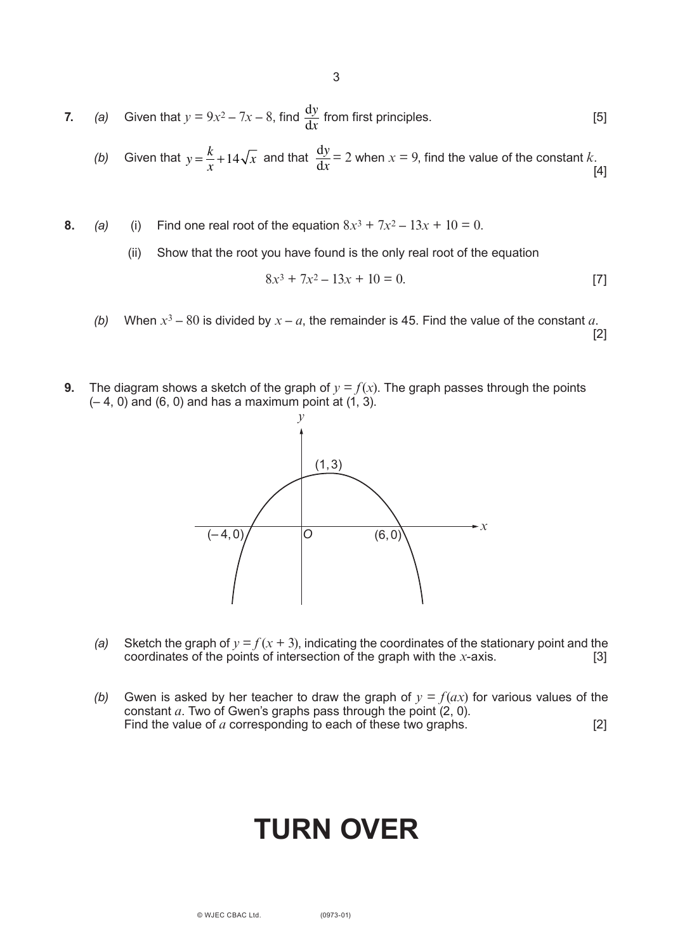3

7. (a) Given that 
$$
y = 9x^2 - 7x - 8
$$
, find  $\frac{dy}{dx}$  from first principles. [5]

(b) Given that 
$$
y = \frac{k}{x} + 14\sqrt{x}
$$
 and that  $\frac{dy}{dx} = 2$  when  $x = 9$ , find the value of the constant k. [4]

- **8.** *(a)* (i) Find one real root of the equation  $8x^3 + 7x^2 13x + 10 = 0$ .
	- (ii) Show that the root you have found is the only real root of the equation

$$
8x^3 + 7x^2 - 13x + 10 = 0.
$$
 [7]

- *(b)* When  $x^3 80$  is divided by  $x a$ , the remainder is 45. Find the value of the constant *a*. [2]
- **9.** The diagram shows a sketch of the graph of  $y = f(x)$ . The graph passes through the points  $(-4, 0)$  and  $(6, 0)$  and has a maximum point at  $(1, 3)$ .



- *(a)* Sketch the graph of  $y = f(x + 3)$ , indicating the coordinates of the stationary point and the coordinates of the points of intersection of the graph with the *x*-axis. [3] coordinates of the points of intersection of the graph with the *-axis.*
- *(b)* Gwen is asked by her teacher to draw the graph of  $y = f(ax)$  for various values of the constant *a*. Two of Gwen's graphs pass through the point (2, 0). Find the value of *a* corresponding to each of these two graphs. [2]

# **TURN OVER**